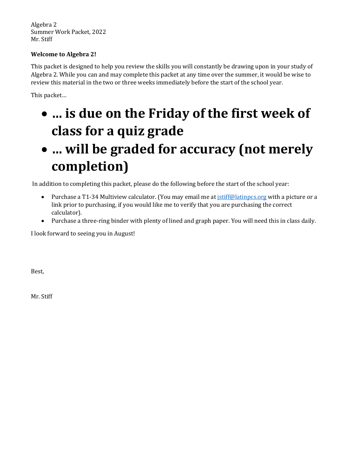### **Welcome to Algebra 2!**

This packet is designed to help you review the skills you will constantly be drawing upon in your study of Algebra 2. While you can and may complete this packet at any time over the summer, it would be wise to review this material in the two or three weeks immediately before the start of the school year.

This packet…

# • ... is due on the Friday of the first week of **class for a quiz grade**

# • **… will be graded for accuracy (not merely completion)**

In addition to completing this packet, please do the following before the start of the school year:

- Purchase a T1-34 Multiview calculator. (You may email me at *istiff@latinpcs.org* with a picture or a link prior to purchasing, if you would like me to verify that you are purchasing the correct calculator).
- Purchase a three-ring binder with plenty of lined and graph paper. You will need this in class daily.

I look forward to seeing you in August!

Best,

Mr. Stiff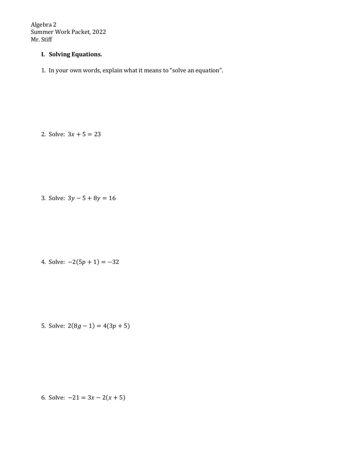#### **I.** Solving Equations.

1. In your own words, explain what it means to "solve an equation".

2. Solve:  $3x + 5 = 23$ 

3. Solve:  $3y - 5 + 8y = 16$ 

4. Solve:  $-2(5p + 1) = -32$ 

5. Solve:  $2(8g - 1) = 4(3p + 5)$ 

6. Solve:  $-21 = 3x - 2(x + 5)$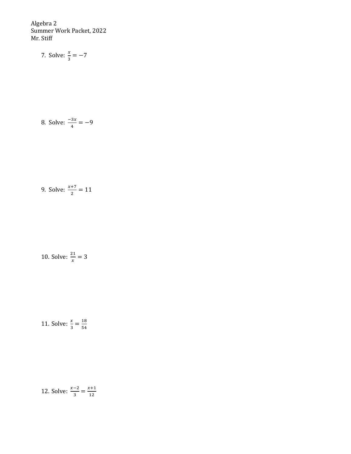7. Solve: 
$$
\frac{x}{3} = -7
$$

8. Solve: 
$$
\frac{-3x}{4} = -9
$$

9. Solve: 
$$
\frac{x+7}{2} = 11
$$

10. Solve:  $\frac{21}{x} = 3$ 

11. Solve:  $\frac{x}{3} = \frac{18}{54}$ 

12. Solve:  $\frac{x-2}{3} = \frac{x+1}{12}$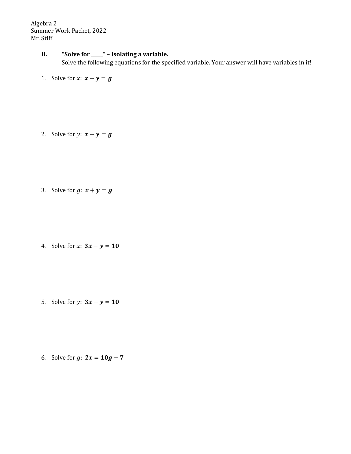### **II. "Solve for \_\_\_\_"** - **Isolating a variable.**

Solve the following equations for the specified variable. Your answer will have variables in it!

1. Solve for x:  $x + y = g$ 

2. Solve for y:  $x + y = g$ 

3. Solve for  $g: x + y = g$ 

4. Solve for x:  $3x - y = 10$ 

5. Solve for y:  $3x - y = 10$ 

6. Solve for  $g: 2x = 10g - 7$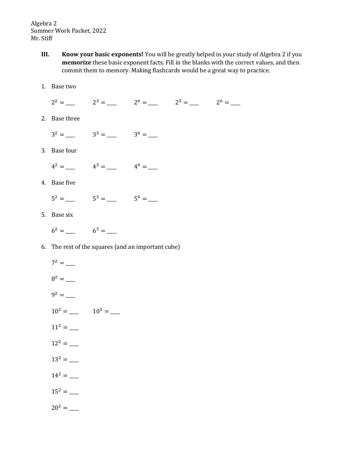- **III. Know your basic exponents!** You will be greatly helped in your study of Algebra 2 if you memorize these basic exponent facts. Fill in the blanks with the correct values, and then commit them to memory. Making flashcards would be a great way to practice.
- 1. Base two

 $2^2 =$  2<sup>3</sup> = 2<sup>4</sup> = 2<sup>4</sup> = 2<sup>5</sup> = 2<sup>6</sup> = 2. Base three  $3^2 =$   $3^3 =$   $3^4 =$   $3^4 =$   $3^4$ 3. Base four 4' = \_\_\_\_ 4" = \_\_\_\_ 4\$ = \_\_\_\_ 4. Base five  $5^2 =$  5<sup>3</sup> = 5<sup>3</sup> = 5<sup>4</sup> = 5<sup>4</sup> 5. Base six  $6^2 = 6^3 =$ 

- 6. The rest of the squares (and an important cube)
	- 7' = \_\_\_\_  $8^2 =$  $9^2 =$  $10^2 =$   $10^3 =$   $10^3$ 11' = \_\_\_\_ 12' = \_\_\_\_ 13' = \_\_\_\_  $14^2 =$  $15^2 =$  $20^2 =$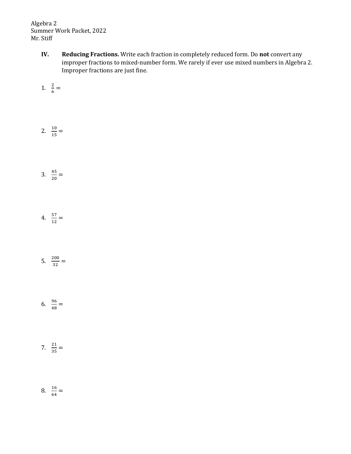> **IV. Reducing Fractions.** Write each fraction in completely reduced form. Do not convert any improper fractions to mixed-number form. We rarely if ever use mixed numbers in Algebra 2. Improper fractions are just fine.

$$
1. \quad \frac{2}{6} =
$$

2. 
$$
\frac{10}{15} =
$$

3. 
$$
\frac{45}{20} =
$$

4. 
$$
\frac{57}{12}
$$
 =

5. 
$$
\frac{200}{32} =
$$

6. 
$$
\frac{96}{48}
$$
 =

7. 
$$
\frac{21}{35} =
$$

$$
8. \ \ \frac{16}{64} =
$$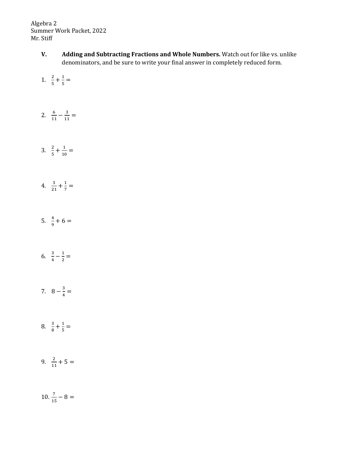- **V. Adding and Subtracting Fractions and Whole Numbers.** Watch out for like vs. unlike denominators, and be sure to write your final answer in completely reduced form.
- 1.  $\frac{2}{5} + \frac{1}{5} =$
- 2.  $\frac{6}{11} \frac{3}{11} =$
- 3.  $\frac{2}{5} + \frac{1}{10} =$
- 4.  $\frac{3}{21} + \frac{1}{7} =$
- 5.  $\frac{4}{9} + 6 =$
- 6.  $\frac{3}{4} \frac{1}{2} =$
- 7.  $8 \frac{3}{4} =$
- 8.  $\frac{3}{8} + \frac{1}{5} =$
- 9.  $\frac{2}{11} + 5 =$
- 10.  $\frac{7}{15} 8 =$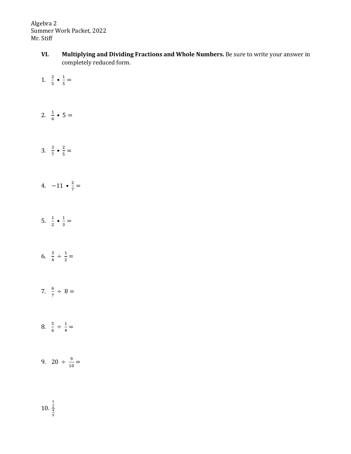- **VI.** Multiplying and Dividing Fractions and Whole Numbers. Be sure to write your answer in completely reduced form.
- 1.  $\frac{2}{5} \cdot \frac{1}{5} =$ 2.  $\frac{1}{6} \cdot 5 =$ 3.  $\frac{3}{7} \cdot \frac{2}{5} =$
- 4.  $-11 \cdot \frac{2}{7} =$
- 5.  $\frac{1}{2} \cdot \frac{1}{3} =$
- 6.  $\frac{3}{4} \div \frac{1}{2} =$
- 7.  $\frac{6}{7} \div 8 =$
- 8.  $\frac{5}{6} \div \frac{1}{4} =$
- 9. 20  $\div \frac{9}{10}$  =

10. !  $\frac{2}{4}$ \$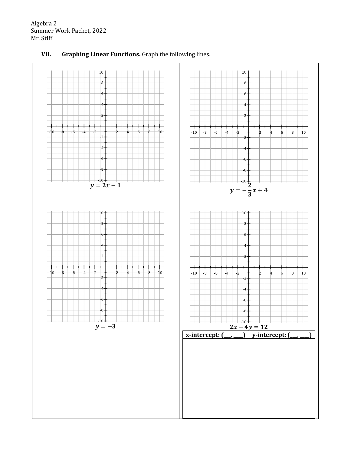

## **VII. Graphing Linear Functions.** Graph the following lines.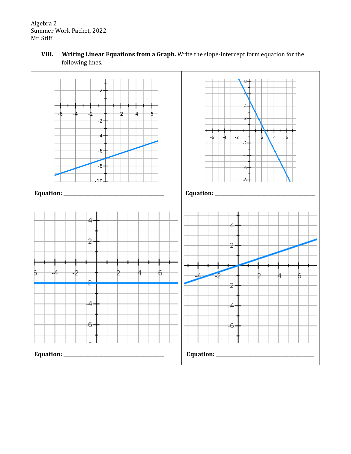> **VIII.** Writing Linear Equations from a Graph. Write the slope-intercept form equation for the following lines.